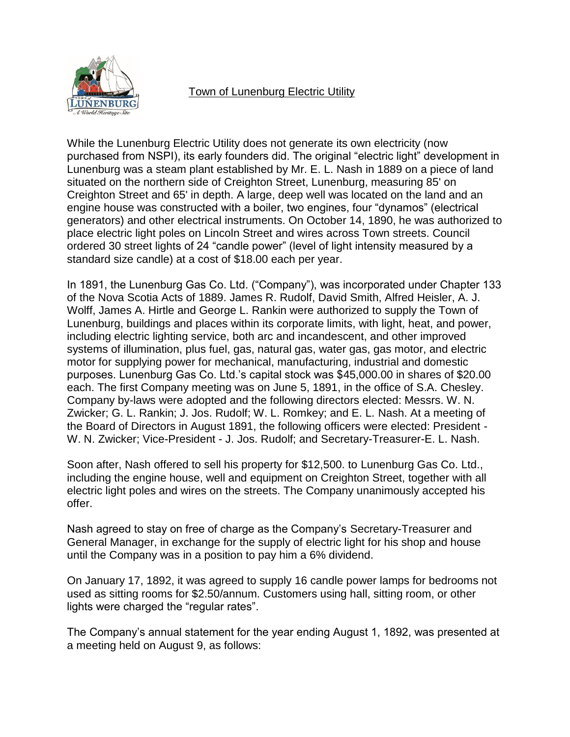

## Town of Lunenburg Electric Utility

While the Lunenburg Electric Utility does not generate its own electricity (now purchased from NSPI), its early founders did. The original "electric light" development in Lunenburg was a steam plant established by Mr. E. L. Nash in 1889 on a piece of land situated on the northern side of Creighton Street, Lunenburg, measuring 85' on Creighton Street and 65' in depth. A large, deep well was located on the land and an engine house was constructed with a boiler, two engines, four "dynamos" (electrical generators) and other electrical instruments. On October 14, 1890, he was authorized to place electric light poles on Lincoln Street and wires across Town streets. Council ordered 30 street lights of 24 "candle power" (level of light intensity measured by a standard size candle) at a cost of \$18.00 each per year.

In 1891, the Lunenburg Gas Co. Ltd. ("Company"), was incorporated under Chapter 133 of the Nova Scotia Acts of 1889. James R. Rudolf, David Smith, Alfred Heisler, A. J. Wolff, James A. Hirtle and George L. Rankin were authorized to supply the Town of Lunenburg, buildings and places within its corporate limits, with light, heat, and power, including electric lighting service, both arc and incandescent, and other improved systems of illumination, plus fuel, gas, natural gas, water gas, gas motor, and electric motor for supplying power for mechanical, manufacturing, industrial and domestic purposes. Lunenburg Gas Co. Ltd.'s capital stock was \$45,000.00 in shares of \$20.00 each. The first Company meeting was on June 5, 1891, in the office of S.A. Chesley. Company by-laws were adopted and the following directors elected: Messrs. W. N. Zwicker; G. L. Rankin; J. Jos. Rudolf; W. L. Romkey; and E. L. Nash. At a meeting of the Board of Directors in August 1891, the following officers were elected: President - W. N. Zwicker; Vice-President - J. Jos. Rudolf; and Secretary-Treasurer-E. L. Nash.

Soon after, Nash offered to sell his property for \$12,500. to Lunenburg Gas Co. Ltd., including the engine house, well and equipment on Creighton Street, together with all electric light poles and wires on the streets. The Company unanimously accepted his offer.

Nash agreed to stay on free of charge as the Company's Secretary-Treasurer and General Manager, in exchange for the supply of electric light for his shop and house until the Company was in a position to pay him a 6% dividend.

On January 17, 1892, it was agreed to supply 16 candle power lamps for bedrooms not used as sitting rooms for \$2.50/annum. Customers using hall, sitting room, or other lights were charged the "regular rates".

The Company's annual statement for the year ending August 1, 1892, was presented at a meeting held on August 9, as follows: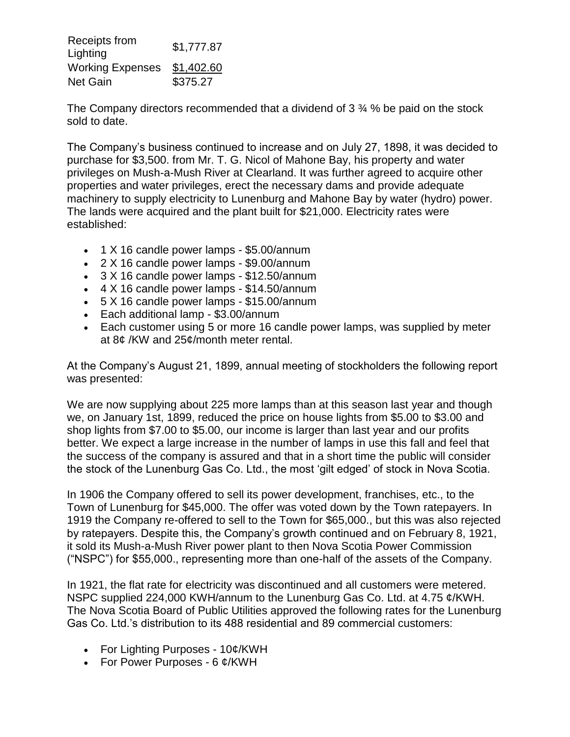| Receipts from           | \$1,777.87 |
|-------------------------|------------|
| Lighting                |            |
| <b>Working Expenses</b> | \$1,402.60 |
| <b>Net Gain</b>         | \$375.27   |

The Company directors recommended that a dividend of  $3\frac{3}{4}\%$  be paid on the stock sold to date.

The Company's business continued to increase and on July 27, 1898, it was decided to purchase for \$3,500. from Mr. T. G. Nicol of Mahone Bay, his property and water privileges on Mush-a-Mush River at Clearland. It was further agreed to acquire other properties and water privileges, erect the necessary dams and provide adequate machinery to supply electricity to Lunenburg and Mahone Bay by water (hydro) power. The lands were acquired and the plant built for \$21,000. Electricity rates were established:

- 1 X 16 candle power lamps \$5.00/annum
- 2 X 16 candle power lamps \$9.00/annum
- 3 X 16 candle power lamps \$12.50/annum
- 4 X 16 candle power lamps \$14.50/annum
- 5 X 16 candle power lamps \$15.00/annum
- Each additional lamp \$3.00/annum
- Each customer using 5 or more 16 candle power lamps, was supplied by meter at 8¢ /KW and 25¢/month meter rental.

At the Company's August 21, 1899, annual meeting of stockholders the following report was presented:

We are now supplying about 225 more lamps than at this season last year and though we, on January 1st, 1899, reduced the price on house lights from \$5.00 to \$3.00 and shop lights from \$7.00 to \$5.00, our income is larger than last year and our profits better. We expect a large increase in the number of lamps in use this fall and feel that the success of the company is assured and that in a short time the public will consider the stock of the Lunenburg Gas Co. Ltd., the most 'gilt edged' of stock in Nova Scotia.

In 1906 the Company offered to sell its power development, franchises, etc., to the Town of Lunenburg for \$45,000. The offer was voted down by the Town ratepayers. In 1919 the Company re-offered to sell to the Town for \$65,000., but this was also rejected by ratepayers. Despite this, the Company's growth continued and on February 8, 1921, it sold its Mush-a-Mush River power plant to then Nova Scotia Power Commission ("NSPC") for \$55,000., representing more than one-half of the assets of the Company.

In 1921, the flat rate for electricity was discontinued and all customers were metered. NSPC supplied 224,000 KWH/annum to the Lunenburg Gas Co. Ltd. at 4.75 ¢/KWH. The Nova Scotia Board of Public Utilities approved the following rates for the Lunenburg Gas Co. Ltd.'s distribution to its 488 residential and 89 commercial customers:

- For Lighting Purposes  $10¢$ /KWH
- For Power Purposes  $6 \frac{\alpha}{KWH}$